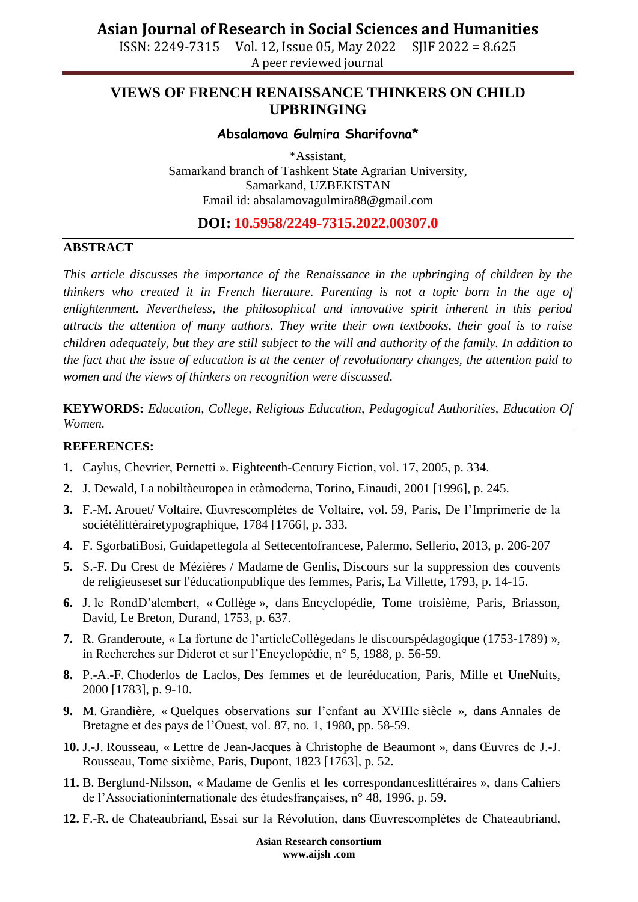ISSN: 2249-7315 Vol. 12, Issue 05, May 2022 SJIF 2022 = 8.625 A peer reviewed journal

## **VIEWS OF FRENCH RENAISSANCE THINKERS ON CHILD UPBRINGING**

#### **Absalamova Gulmira Sharifovna\***

\*Assistant, Samarkand branch of Tashkent State Agrarian University, Samarkand, UZBEKISTAN Email id: absalamovagulmira88@gmail.com

### **DOI: 10.5958/2249-7315.2022.00307.0**

#### **ABSTRACT**

*This article discusses the importance of the Renaissance in the upbringing of children by the thinkers who created it in French literature. Parenting is not a topic born in the age of enlightenment. Nevertheless, the philosophical and innovative spirit inherent in this period attracts the attention of many authors. They write their own textbooks, their goal is to raise children adequately, but they are still subject to the will and authority of the family. In addition to the fact that the issue of education is at the center of revolutionary changes, the attention paid to women and the views of thinkers on recognition were discussed.*

**KEYWORDS:** *Education, College, Religious Education, Pedagogical Authorities, Education Of Women.*

#### **REFERENCES:**

- **1.** Caylus, Chevrier, Pernetti ». Eighteenth-Century Fiction, vol. 17, 2005, p. 334.
- **2.** J. Dewald, La nobiltàeuropea in etàmoderna, Torino, Einaudi, 2001 [1996], p. 245.
- **3.** F.-M. Arouet/ Voltaire, Œuvrescomplètes de Voltaire, vol. 59, Paris, De l'Imprimerie de la sociétélittérairetypographique, 1784 [1766], p. 333.
- **4.** F. SgorbatiBosi, Guidapettegola al Settecentofrancese, Palermo, Sellerio, 2013, p. 206-207
- **5.** S.-F. Du Crest de Mézières / Madame de Genlis, Discours sur la suppression des couvents de religieuseset sur l'éducationpublique des femmes, Paris, La Villette, 1793, p. 14-15.
- **6.** J. le RondD'alembert, « Collège », dans Encyclopédie, Tome troisième, Paris, Briasson, David, Le Breton, Durand, 1753, p. 637.
- **7.** R. Granderoute, « La fortune de l'articleCollègedans le discourspédagogique (1753-1789) », in Recherches sur Diderot et sur l'Encyclopédie, n° 5, 1988, p. 56-59.
- **8.** P.-A.-F. Choderlos de Laclos, Des femmes et de leuréducation, Paris, Mille et UneNuits, 2000 [1783], p. 9-10.
- **9.** M. Grandière, « Quelques observations sur l'enfant au XVIIIe siècle », dans Annales de Bretagne et des pays de l'Ouest, vol. 87, no. 1, 1980, pp. 58-59.
- **10.** J.-J. Rousseau, « Lettre de Jean-Jacques à Christophe de Beaumont », dans Œuvres de J.-J. Rousseau, Tome sixième, Paris, Dupont, 1823 [1763], p. 52.
- **11.** B. Berglund-Nilsson, « Madame de Genlis et les correspondanceslittéraires », dans Cahiers de l'Associationinternationale des étudesfrançaises, n° 48, 1996, p. 59.
- **12.** F.-R. de Chateaubriand, Essai sur la Révolution, dans Œuvrescomplètes de Chateaubriand,